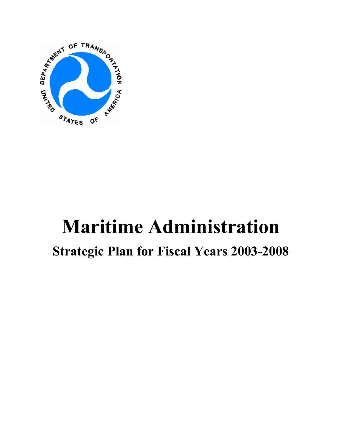

# **Maritime Administration**

# **Strategic Plan for Fiscal Years 2003-2008**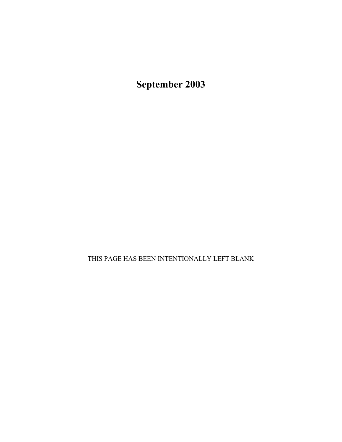**September 2003**

THIS PAGE HAS BEEN INTENTIONALLY LEFT BLANK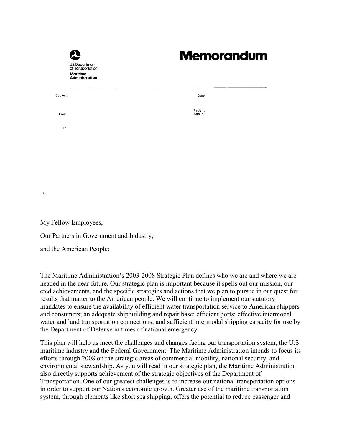|          | U.S. Department<br>of Transportation<br><b>Maritime</b><br><b>Administration</b> | <b>Memorandum</b>     |
|----------|----------------------------------------------------------------------------------|-----------------------|
| Subject: |                                                                                  | Date:                 |
| From     |                                                                                  | Reply to<br>Attn. of: |
| To       |                                                                                  |                       |
|          |                                                                                  |                       |
|          |                                                                                  |                       |
|          |                                                                                  |                       |
|          |                                                                                  |                       |

My Fellow Employees,

Ł

Our Partners in Government and Industry,

and the American People:

The Maritime Administration's 2003-2008 Strategic Plan defines who we are and where we are headed in the near future. Our strategic plan is important because it spells out our mission, our cted achievements, and the specific strategies and actions that we plan to pursue in our quest for results that matter to the American people. We will continue to implement our statutory mandates to ensure the availability of efficient water transportation service to American shippers and consumers; an adequate shipbuilding and repair base; efficient ports; effective intermodal water and land transportation connections; and sufficient intermodal shipping capacity for use by the Department of Defense in times of national emergency.

This plan will help us meet the challenges and changes facing our transportation system, the U.S. maritime industry and the Federal Government. The Maritime Administration intends to focus its efforts through 2008 on the strategic areas of commercial mobility, national security, and environmental stewardship. As you will read in our strategic plan, the Maritime Administration also directly supports achievement of the strategic objectives of the Department of Transportation. One of our greatest challenges is to increase our national transportation options in order to support our Nation's economic growth. Greater use of the maritime transportation system, through elements like short sea shipping, offers the potential to reduce passenger and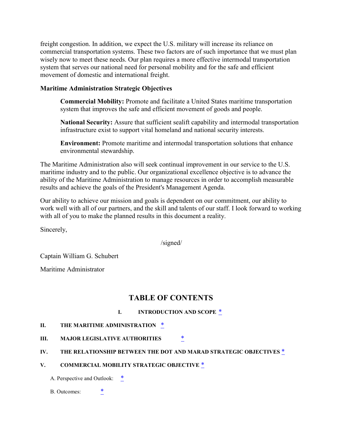freight congestion. In addition, we expect the U.S. military will increase its reliance on commercial transportation systems. These two factors are of such importance that we must plan wisely now to meet these needs. Our plan requires a more effective intermodal transportation system that serves our national need for personal mobility and for the safe and efficient movement of domestic and international freight.

#### **Maritime Administration Strategic Objectives**

**Commercial Mobility:** Promote and facilitate a United States maritime transportation system that improves the safe and efficient movement of goods and people.

**National Security:** Assure that sufficient sealift capability and intermodal transportation infrastructure exist to support vital homeland and national security interests.

**Environment:** Promote maritime and intermodal transportation solutions that enhance environmental stewardship.

The Maritime Administration also will seek continual improvement in our service to the U.S. maritime industry and to the public. Our organizational excellence objective is to advance the ability of the Maritime Administration to manage resources in order to accomplish measurable results and achieve the goals of the President's Management Agenda.

Our ability to achieve our mission and goals is dependent on our commitment, our ability to work well with all of our partners, and the skill and talents of our staff. I look forward to working with all of you to make the planned results in this document a reality.

Sincerely,

/signed/

Captain William G. Schubert

Maritime Administrator

# **TABLE OF CONTENTS**

#### **I. INTRODUCTION AND SCOPE** \*

#### **II. THE MARITIME ADMINISTRATION** \*

#### **III. MAJOR LEGISLATIVE AUTHORITIES** \*

#### **IV. THE RELATIONSHIP BETWEEN THE DOT AND MARAD STRATEGIC OBJECTIVES** \*

#### **V. COMMERCIAL MOBILITY STRATEGIC OBJECTIVE** \*

A. Perspective and Outlook:  $*$ 

#### B. Outcomes:  $*$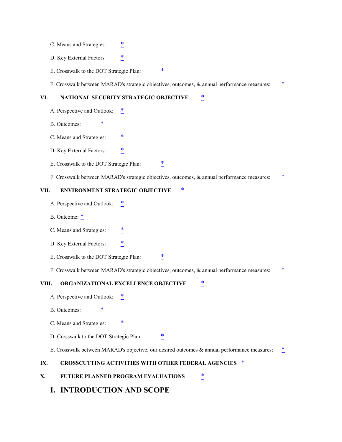- C. Means and Strategies:
- D. Key External Factors
- E. Crosswalk to the DOT Strategic Plan:

F. Crosswalk between MARAD's strategic objectives, outcomes, & annual performance measures: \*

#### **VI. NATIONAL SECURITY STRATEGIC OBJECTIVE** \*

- A. Perspective and Outlook:  $*$
- B. Outcomes:  $*$
- C. Means and Strategies:
- D. Key External Factors:
- E. Crosswalk to the DOT Strategic Plan:
- F. Crosswalk between MARAD's strategic objectives, outcomes, & annual performance measures:

#### VII. ENVIRONMENT STRATEGIC OBJECTIVE  $*$

- A. Perspective and Outlook: \*
- B. Outcome:  $*$
- C. Means and Strategies:
- D. Key External Factors:
- E. Crosswalk to the DOT Strategic Plan: \*
- F. Crosswalk between MARAD's strategic objectives, outcomes, & annual performance measures: \*

#### **VIII. ORGANIZATIONAL EXCELLENCE OBJECTIVE** \*

- A. Perspective and Outlook:
- B. Outcomes:  $*$
- C. Means and Strategies:  $*$
- D. Crosswalk to the DOT Strategic Plan:  $*$
- E. Crosswalk between MARAD's objective, our desired outcomes & annual performance measures:

#### IX. CROSSCUTTING ACTIVITIES WITH OTHER FEDERAL AGENCIES  $\frac{*}{2}$

**X. FUTURE PLANNED PROGRAM EVALUATIONS** \*

#### **I. INTRODUCTION AND SCOPE**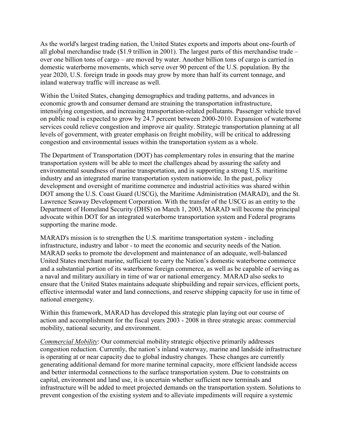As the world's largest trading nation, the United States exports and imports about one-fourth of all global merchandise trade (\$1.9 trillion in 2001). The largest parts of this merchandise trade – over one billion tons of cargo – are moved by water. Another billion tons of cargo is carried in domestic waterborne movements, which serve over 90 percent of the U.S. population. By the year 2020, U.S. foreign trade in goods may grow by more than half its current tonnage, and inland waterway traffic will increase as well.

Within the United States, changing demographics and trading patterns, and advances in economic growth and consumer demand are straining the transportation infrastructure, intensifying congestion, and increasing transportation-related pollutants. Passenger vehicle travel on public road is expected to grow by 24.7 percent between 2000-2010. Expansion of waterborne services could relieve congestion and improve air quality. Strategic transportation planning at all levels of government, with greater emphasis on freight mobility, will be critical to addressing congestion and environmental issues within the transportation system as a whole.

The Department of Transportation (DOT) has complementary roles in ensuring that the marine transportation system will be able to meet the challenges ahead by assuring the safety and environmental soundness of marine transportation, and in supporting a strong U.S. maritime industry and an integrated marine transportation system nationwide. In the past, policy development and oversight of maritime commerce and industrial activities was shared within DOT among the U.S. Coast Guard (USCG), the Maritime Administration (MARAD), and the St. Lawrence Seaway Development Corporation. With the transfer of the USCG as an entity to the Department of Homeland Security (DHS) on March 1, 2003, MARAD will become the principal advocate within DOT for an integrated waterborne transportation system and Federal programs supporting the marine mode.

MARAD's mission is to strengthen the U.S. maritime transportation system - including infrastructure, industry and labor - to meet the economic and security needs of the Nation. MARAD seeks to promote the development and maintenance of an adequate, well-balanced United States merchant marine, sufficient to carry the Nation's domestic waterborne commerce and a substantial portion of its waterborne foreign commerce, as well as be capable of serving as a naval and military auxiliary in time of war or national emergency. MARAD also seeks to ensure that the United States maintains adequate shipbuilding and repair services, efficient ports, effective intermodal water and land connections, and reserve shipping capacity for use in time of national emergency.

Within this framework, MARAD has developed this strategic plan laying out our course of action and accomplishment for the fiscal years 2003 - 2008 in three strategic areas: commercial mobility, national security, and environment.

*Commercial Mobility*: Our commercial mobility strategic objective primarily addresses congestion reduction. Currently, the nation's inland waterway, marine and landside infrastructure is operating at or near capacity due to global industry changes. These changes are currently generating additional demand for more marine terminal capacity, more efficient landside access and better intermodal connections to the surface transportation system. Due to constraints on capital, environment and land use, it is uncertain whether sufficient new terminals and infrastructure will be added to meet projected demands on the transportation system. Solutions to prevent congestion of the existing system and to alleviate impediments will require a systemic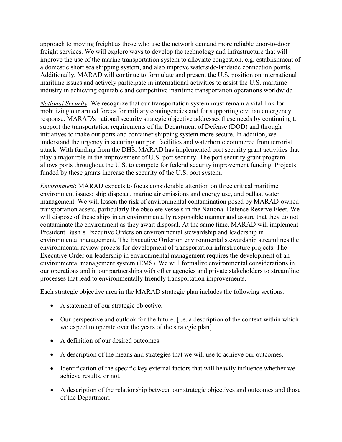approach to moving freight as those who use the network demand more reliable door-to-door freight services. We will explore ways to develop the technology and infrastructure that will improve the use of the marine transportation system to alleviate congestion, e.g. establishment of a domestic short sea shipping system, and also improve waterside-landside connection points. Additionally, MARAD will continue to formulate and present the U.S. position on international maritime issues and actively participate in international activities to assist the U.S. maritime industry in achieving equitable and competitive maritime transportation operations worldwide.

*National Security*: We recognize that our transportation system must remain a vital link for mobilizing our armed forces for military contingencies and for supporting civilian emergency response. MARAD's national security strategic objective addresses these needs by continuing to support the transportation requirements of the Department of Defense (DOD) and through initiatives to make our ports and container shipping system more secure. In addition, we understand the urgency in securing our port facilities and waterborne commerce from terrorist attack. With funding from the DHS, MARAD has implemented port security grant activities that play a major role in the improvement of U.S. port security. The port security grant program allows ports throughout the U.S. to compete for federal security improvement funding. Projects funded by these grants increase the security of the U.S. port system.

*Environment*: MARAD expects to focus considerable attention on three critical maritime environment issues: ship disposal, marine air emissions and energy use, and ballast water management. We will lessen the risk of environmental contamination posed by MARAD-owned transportation assets, particularly the obsolete vessels in the National Defense Reserve Fleet. We will dispose of these ships in an environmentally responsible manner and assure that they do not contaminate the environment as they await disposal. At the same time, MARAD will implement President Bush's Executive Orders on environmental stewardship and leadership in environmental management. The Executive Order on environmental stewardship streamlines the environmental review process for development of transportation infrastructure projects. The Executive Order on leadership in environmental management requires the development of an environmental management system (EMS). We will formalize environmental considerations in our operations and in our partnerships with other agencies and private stakeholders to streamline processes that lead to environmentally friendly transportation improvements.

Each strategic objective area in the MARAD strategic plan includes the following sections:

- A statement of our strategic objective.
- Our perspective and outlook for the future. [i.e. a description of the context within which we expect to operate over the years of the strategic plan]
- A definition of our desired outcomes.
- A description of the means and strategies that we will use to achieve our outcomes.
- Identification of the specific key external factors that will heavily influence whether we achieve results, or not.
- A description of the relationship between our strategic objectives and outcomes and those of the Department.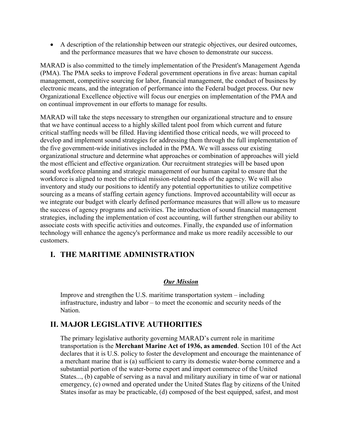A description of the relationship between our strategic objectives, our desired outcomes, and the performance measures that we have chosen to demonstrate our success.

MARAD is also committed to the timely implementation of the President's Management Agenda (PMA). The PMA seeks to improve Federal government operations in five areas: human capital management, competitive sourcing for labor, financial management, the conduct of business by electronic means, and the integration of performance into the Federal budget process. Our new Organizational Excellence objective will focus our energies on implementation of the PMA and on continual improvement in our efforts to manage for results.

MARAD will take the steps necessary to strengthen our organizational structure and to ensure that we have continual access to a highly skilled talent pool from which current and future critical staffing needs will be filled. Having identified those critical needs, we will proceed to develop and implement sound strategies for addressing them through the full implementation of the five government-wide initiatives included in the PMA. We will assess our existing organizational structure and determine what approaches or combination of approaches will yield the most efficient and effective organization. Our recruitment strategies will be based upon sound workforce planning and strategic management of our human capital to ensure that the workforce is aligned to meet the critical mission-related needs of the agency. We will also inventory and study our positions to identify any potential opportunities to utilize competitive sourcing as a means of staffing certain agency functions. Improved accountability will occur as we integrate our budget with clearly defined performance measures that will allow us to measure the success of agency programs and activities. The introduction of sound financial management strategies, including the implementation of cost accounting, will further strengthen our ability to associate costs with specific activities and outcomes. Finally, the expanded use of information technology will enhance the agency's performance and make us more readily accessible to our customers.

# **I. THE MARITIME ADMINISTRATION**

#### *Our Mission*

Improve and strengthen the U.S. maritime transportation system – including infrastructure, industry and labor – to meet the economic and security needs of the Nation.

# **II. MAJOR LEGISLATIVE AUTHORITIES**

The primary legislative authority governing MARAD's current role in maritime transportation is the **Merchant Marine Act of 1936, as amended**. Section 101 of the Act declares that it is U.S. policy to foster the development and encourage the maintenance of a merchant marine that is (a) sufficient to carry its domestic water-borne commerce and a substantial portion of the water-borne export and import commerce of the United States..., (b) capable of serving as a naval and military auxiliary in time of war or national emergency, (c) owned and operated under the United States flag by citizens of the United States insofar as may be practicable, (d) composed of the best equipped, safest, and most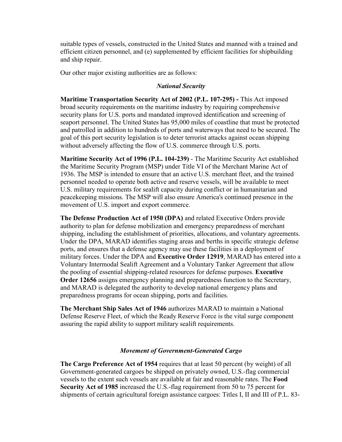suitable types of vessels, constructed in the United States and manned with a trained and efficient citizen personnel, and (e) supplemented by efficient facilities for shipbuilding and ship repair.

Our other major existing authorities are as follows:

#### *National Security*

**Maritime Transportation Security Act of 2002 (P.L. 107-295) -** This Act imposed broad security requirements on the maritime industry by requiring comprehensive security plans for U.S. ports and mandated improved identification and screening of seaport personnel. The United States has 95,000 miles of coastline that must be protected and patrolled in addition to hundreds of ports and waterways that need to be secured. The goal of this port security legislation is to deter terrorist attacks against ocean shipping without adversely affecting the flow of U.S. commerce through U.S. ports.

**Maritime Security Act of 1996 (P.L. 104-239)** - The Maritime Security Act established the Maritime Security Program (MSP) under Title VI of the Merchant Marine Act of 1936. The MSP is intended to ensure that an active U.S. merchant fleet, and the trained personnel needed to operate both active and reserve vessels, will be available to meet U.S. military requirements for sealift capacity during conflict or in humanitarian and peacekeeping missions. The MSP will also ensure America's continued presence in the movement of U.S. import and export commerce.

**The Defense Production Act of 1950 (DPA)** and related Executive Orders provide authority to plan for defense mobilization and emergency preparedness of merchant shipping, including the establishment of priorities, allocations, and voluntary agreements. Under the DPA, MARAD identifies staging areas and berths in specific strategic defense ports, and ensures that a defense agency may use these facilities in a deployment of military forces. Under the DPA and **Executive Order 12919**, MARAD has entered into a Voluntary Intermodal Sealift Agreement and a Voluntary Tanker Agreement that allow the pooling of essential shipping-related resources for defense purposes. **Executive Order 12656** assigns emergency planning and preparedness function to the Secretary, and MARAD is delegated the authority to develop national emergency plans and preparedness programs for ocean shipping, ports and facilities.

**The Merchant Ship Sales Act of 1946** authorizes MARAD to maintain a National Defense Reserve Fleet, of which the Ready Reserve Force is the vital surge component assuring the rapid ability to support military sealift requirements.

#### *Movement of Government-Generated Cargo*

**The Cargo Preference Act of 1954** requires that at least 50 percent (by weight) of all Government-generated cargoes be shipped on privately owned, U.S.-flag commercial vessels to the extent such vessels are available at fair and reasonable rates. The **Food Security Act of 1985** increased the U.S.-flag requirement from 50 to 75 percent for shipments of certain agricultural foreign assistance cargoes: Titles I, II and III of P.L. 83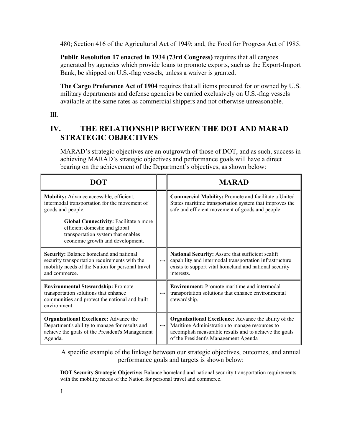480; Section 416 of the Agricultural Act of 1949; and, the Food for Progress Act of 1985.

**Public Resolution 17 enacted in 1934 (73rd Congress)** requires that all cargoes generated by agencies which provide loans to promote exports, such as the Export-Import Bank, be shipped on U.S.-flag vessels, unless a waiver is granted.

**The Cargo Preference Act of 1904** requires that all items procured for or owned by U.S. military departments and defense agencies be carried exclusively on U.S.-flag vessels available at the same rates as commercial shippers and not otherwise unreasonable.

III.

# **IV. THE RELATIONSHIP BETWEEN THE DOT AND MARAD STRATEGIC OBJECTIVES**

MARAD's strategic objectives are an outgrowth of those of DOT, and as such, success in achieving MARAD's strategic objectives and performance goals will have a direct bearing on the achievement of the Department's objectives, as shown below:

| DOT                                                                                                                                                           |                   | <b>MARAD</b>                                                                                                                                                                                                     |
|---------------------------------------------------------------------------------------------------------------------------------------------------------------|-------------------|------------------------------------------------------------------------------------------------------------------------------------------------------------------------------------------------------------------|
| Mobility: Advance accessible, efficient,<br>intermodal transportation for the movement of<br>goods and people.                                                |                   | Commercial Mobility: Promote and facilitate a United<br>States maritime transportation system that improves the<br>safe and efficient movement of goods and people.                                              |
| <b>Global Connectivity: Facilitate a more</b><br>efficient domestic and global<br>transportation system that enables<br>economic growth and development.      |                   |                                                                                                                                                                                                                  |
| Security: Balance homeland and national<br>security transportation requirements with the<br>mobility needs of the Nation for personal travel<br>and commerce. | $\leftrightarrow$ | National Security: Assure that sufficient sealift<br>capability and intermodal transportation infrastructure<br>exists to support vital homeland and national security<br>interests.                             |
| <b>Environmental Stewardship: Promote</b><br>transportation solutions that enhance<br>communities and protect the national and built<br>environment.          |                   | <b>Environment:</b> Promote maritime and intermodal<br>transportation solutions that enhance environmental<br>stewardship.                                                                                       |
| <b>Organizational Excellence:</b> Advance the<br>Department's ability to manage for results and<br>achieve the goals of the President's Management<br>Agenda. | $\leftrightarrow$ | <b>Organizational Excellence:</b> Advance the ability of the<br>Maritime Administration to manage resources to<br>accomplish measurable results and to achieve the goals<br>of the President's Management Agenda |

A specific example of the linkage between our strategic objectives, outcomes, and annual performance goals and targets is shown below:

**DOT Security Strategic Objective:** Balance homeland and national security transportation requirements with the mobility needs of the Nation for personal travel and commerce.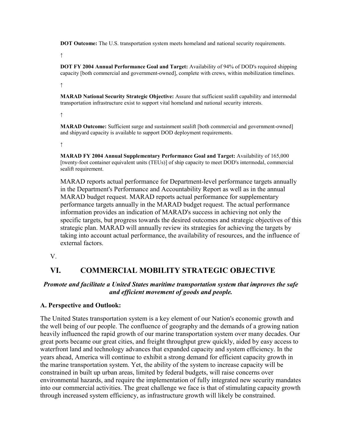**DOT Outcome:** The U.S. transportation system meets homeland and national security requirements.

**↑**

**DOT FY 2004 Annual Performance Goal and Target:** Availability of 94% of DOD's required shipping capacity [both commercial and government-owned], complete with crews, within mobilization timelines.

**↑**

**MARAD National Security Strategic Objective:** Assure that sufficient sealift capability and intermodal transportation infrastructure exist to support vital homeland and national security interests.

**↑**

**MARAD Outcome:** Sufficient surge and sustainment sealift [both commercial and government-owned] and shipyard capacity is available to support DOD deployment requirements.

**↑**

**MARAD FY 2004 Annual Supplementary Performance Goal and Target:** Availability of 165,000 [twenty-foot container equivalent units (TEUs)] of ship capacity to meet DOD's intermodal, commercial sealift requirement.

MARAD reports actual performance for Department-level performance targets annually in the Department's Performance and Accountability Report as well as in the annual MARAD budget request. MARAD reports actual performance for supplementary performance targets annually in the MARAD budget request. The actual performance information provides an indication of MARAD's success in achieving not only the specific targets, but progress towards the desired outcomes and strategic objectives of this strategic plan. MARAD will annually review its strategies for achieving the targets by taking into account actual performance, the availability of resources, and the influence of external factors.

V.

# **VI. COMMERCIAL MOBILITY STRATEGIC OBJECTIVE**

#### *Promote and facilitate a United States maritime transportation system that improves the safe and efficient movement of goods and people.*

#### **A. Perspective and Outlook:**

The United States transportation system is a key element of our Nation's economic growth and the well being of our people. The confluence of geography and the demands of a growing nation heavily influenced the rapid growth of our marine transportation system over many decades. Our great ports became our great cities, and freight throughput grew quickly, aided by easy access to waterfront land and technology advances that expanded capacity and system efficiency. In the years ahead, America will continue to exhibit a strong demand for efficient capacity growth in the marine transportation system. Yet, the ability of the system to increase capacity will be constrained in built up urban areas, limited by federal budgets, will raise concerns over environmental hazards, and require the implementation of fully integrated new security mandates into our commercial activities. The great challenge we face is that of stimulating capacity growth through increased system efficiency, as infrastructure growth will likely be constrained.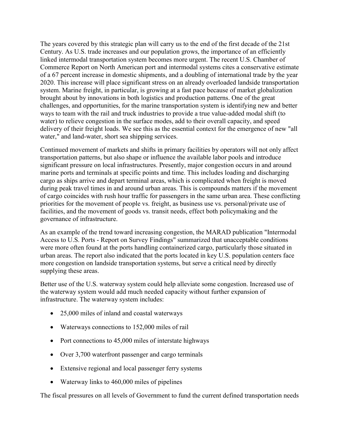The years covered by this strategic plan will carry us to the end of the first decade of the 21st Century. As U.S. trade increases and our population grows, the importance of an efficiently linked intermodal transportation system becomes more urgent. The recent U.S. Chamber of Commerce Report on North American port and intermodal systems cites a conservative estimate of a 67 percent increase in domestic shipments, and a doubling of international trade by the year 2020. This increase will place significant stress on an already overloaded landside transportation system. Marine freight, in particular, is growing at a fast pace because of market globalization brought about by innovations in both logistics and production patterns. One of the great challenges, and opportunities, for the marine transportation system is identifying new and better ways to team with the rail and truck industries to provide a true value-added modal shift (to water) to relieve congestion in the surface modes, add to their overall capacity, and speed delivery of their freight loads. We see this as the essential context for the emergence of new "all water," and land-water, short sea shipping services.

Continued movement of markets and shifts in primary facilities by operators will not only affect transportation patterns, but also shape or influence the available labor pools and introduce significant pressure on local infrastructures. Presently, major congestion occurs in and around marine ports and terminals at specific points and time. This includes loading and discharging cargo as ships arrive and depart terminal areas, which is complicated when freight is moved during peak travel times in and around urban areas. This is compounds matters if the movement of cargo coincides with rush hour traffic for passengers in the same urban area. These conflicting priorities for the movement of people vs. freight, as business use vs. personal/private use of facilities, and the movement of goods vs. transit needs, effect both policymaking and the governance of infrastructure.

As an example of the trend toward increasing congestion, the MARAD publication "Intermodal Access to U.S. Ports - Report on Survey Findings" summarized that unacceptable conditions were more often found at the ports handling containerized cargo, particularly those situated in urban areas. The report also indicated that the ports located in key U.S. population centers face more congestion on landside transportation systems, but serve a critical need by directly supplying these areas.

Better use of the U.S. waterway system could help alleviate some congestion. Increased use of the waterway system would add much needed capacity without further expansion of infrastructure. The waterway system includes:

- 25,000 miles of inland and coastal waterways
- Waterways connections to 152,000 miles of rail
- Port connections to  $45,000$  miles of interstate highways
- Over 3,700 waterfront passenger and cargo terminals
- Extensive regional and local passenger ferry systems
- Waterway links to 460,000 miles of pipelines

The fiscal pressures on all levels of Government to fund the current defined transportation needs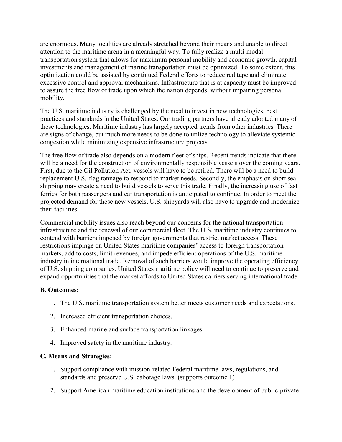are enormous. Many localities are already stretched beyond their means and unable to direct attention to the maritime arena in a meaningful way. To fully realize a multi-modal transportation system that allows for maximum personal mobility and economic growth, capital investments and management of marine transportation must be optimized. To some extent, this optimization could be assisted by continued Federal efforts to reduce red tape and eliminate excessive control and approval mechanisms. Infrastructure that is at capacity must be improved to assure the free flow of trade upon which the nation depends, without impairing personal mobility.

The U.S. maritime industry is challenged by the need to invest in new technologies, best practices and standards in the United States. Our trading partners have already adopted many of these technologies. Maritime industry has largely accepted trends from other industries. There are signs of change, but much more needs to be done to utilize technology to alleviate systemic congestion while minimizing expensive infrastructure projects.

The free flow of trade also depends on a modern fleet of ships. Recent trends indicate that there will be a need for the construction of environmentally responsible vessels over the coming years. First, due to the Oil Pollution Act, vessels will have to be retired. There will be a need to build replacement U.S.-flag tonnage to respond to market needs. Secondly, the emphasis on short sea shipping may create a need to build vessels to serve this trade. Finally, the increasing use of fast ferries for both passengers and car transportation is anticipated to continue. In order to meet the projected demand for these new vessels, U.S. shipyards will also have to upgrade and modernize their facilities.

Commercial mobility issues also reach beyond our concerns for the national transportation infrastructure and the renewal of our commercial fleet. The U.S. maritime industry continues to contend with barriers imposed by foreign governments that restrict market access. These restrictions impinge on United States maritime companies' access to foreign transportation markets, add to costs, limit revenues, and impede efficient operations of the U.S. maritime industry in international trade. Removal of such barriers would improve the operating efficiency of U.S. shipping companies. United States maritime policy will need to continue to preserve and expand opportunities that the market affords to United States carriers serving international trade.

#### **B. Outcomes:**

- 1. The U.S. maritime transportation system better meets customer needs and expectations.
- 2. Increased efficient transportation choices.
- 3. Enhanced marine and surface transportation linkages.
- 4. Improved safety in the maritime industry.

#### **C. Means and Strategies:**

- 1. Support compliance with mission-related Federal maritime laws, regulations, and standards and preserve U.S. cabotage laws. (supports outcome 1)
- 2. Support American maritime education institutions and the development of public-private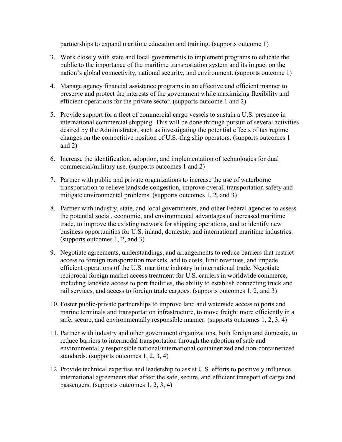partnerships to expand maritime education and training. (supports outcome 1)

- 3. Work closely with state and local governments to implement programs to educate the public to the importance of the maritime transportation system and its impact on the nation's global connectivity, national security, and environment. (supports outcome 1)
- 4. Manage agency financial assistance programs in an effective and efficient manner to preserve and protect the interests of the government while maximizing flexibility and efficient operations for the private sector. (supports outcome 1 and 2)
- 5. Provide support for a fleet of commercial cargo vessels to sustain a U.S. presence in international commercial shipping. This will be done through pursuit of several activities desired by the Administrator, such as investigating the potential effects of tax regime changes on the competitive position of U.S.-flag ship operators. (supports outcomes 1 and 2)
- 6. Increase the identification, adoption, and implementation of technologies for dual commercial/military use. (supports outcomes 1 and 2)
- 7. Partner with public and private organizations to increase the use of waterborne transportation to relieve landside congestion, improve overall transportation safety and mitigate environmental problems. (supports outcomes 1, 2, and 3)
- 8. Partner with industry, state, and local governments, and other Federal agencies to assess the potential social, economic, and environmental advantages of increased maritime trade, to improve the existing network for shipping operations, and to identify new business opportunities for U.S. inland, domestic, and international maritime industries. (supports outcomes 1, 2, and 3)
- 9. Negotiate agreements, understandings, and arrangements to reduce barriers that restrict access to foreign transportation markets, add to costs, limit revenues, and impede efficient operations of the U.S. maritime industry in international trade. Negotiate reciprocal foreign market access treatment for U.S. carriers in worldwide commerce, including landside access to port facilities, the ability to establish connecting truck and rail services, and access to foreign trade cargoes. (supports outcomes 1, 2, and 3)
- 10. Foster public-private partnerships to improve land and waterside access to ports and marine terminals and transportation infrastructure, to move freight more efficiently in a safe, secure, and environmentally responsible manner. (supports outcomes 1, 2, 3, 4)
- 11. Partner with industry and other government organizations, both foreign and domestic, to reduce barriers to intermodal transportation through the adoption of safe and environmentally responsible national/international containerized and non-containerized standards. (supports outcomes 1, 2, 3, 4)
- 12. Provide technical expertise and leadership to assist U.S. efforts to positively influence international agreements that affect the safe, secure, and efficient transport of cargo and passengers. (supports outcomes 1, 2, 3, 4)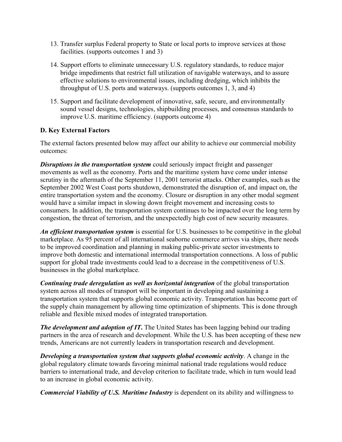- 13. Transfer surplus Federal property to State or local ports to improve services at those facilities. (supports outcomes 1 and 3)
- 14. Support efforts to eliminate unnecessary U.S. regulatory standards, to reduce major bridge impediments that restrict full utilization of navigable waterways, and to assure effective solutions to environmental issues, including dredging, which inhibits the throughput of U.S. ports and waterways. (supports outcomes 1, 3, and 4)
- 15. Support and facilitate development of innovative, safe, secure, and environmentally sound vessel designs, technologies, shipbuilding processes, and consensus standards to improve U.S. maritime efficiency. (supports outcome 4)

#### **D. Key External Factors**

The external factors presented below may affect our ability to achieve our commercial mobility outcomes:

*Disruptions in the transportation system* could seriously impact freight and passenger movements as well as the economy. Ports and the maritime system have come under intense scrutiny in the aftermath of the September 11, 2001 terrorist attacks. Other examples, such as the September 2002 West Coast ports shutdown, demonstrated the disruption of, and impact on, the entire transportation system and the economy. Closure or disruption in any other modal segment would have a similar impact in slowing down freight movement and increasing costs to consumers. In addition, the transportation system continues to be impacted over the long term by congestion, the threat of terrorism, and the unexpectedly high cost of new security measures.

*An efficient transportation system* is essential for U.S. businesses to be competitive in the global marketplace. As 95 percent of all international seaborne commerce arrives via ships, there needs to be improved coordination and planning in making public-private sector investments to improve both domestic and international intermodal transportation connections. A loss of public support for global trade investments could lead to a decrease in the competitiveness of U.S. businesses in the global marketplace.

*Continuing trade deregulation as well as horizontal integration* of the global transportation system across all modes of transport will be important in developing and sustaining a transportation system that supports global economic activity. Transportation has become part of the supply chain management by allowing time optimization of shipments. This is done through reliable and flexible mixed modes of integrated transportation.

*The development and adoption of IT*. The United States has been lagging behind our trading partners in the area of research and development. While the U.S. has been accepting of these new trends, Americans are not currently leaders in transportation research and development.

*Developing a transportation system that supports global economic activity*. A change in the global regulatory climate towards favoring minimal national trade regulations would reduce barriers to international trade, and develop criterion to facilitate trade, which in turn would lead to an increase in global economic activity.

*Commercial Viability of U.S. Maritime Industry* is dependent on its ability and willingness to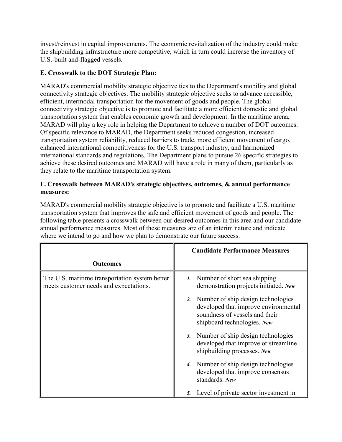invest/reinvest in capital improvements. The economic revitalization of the industry could make the shipbuilding infrastructure more competitive, which in turn could increase the inventory of U.S.-built and-flagged vessels.

# **E. Crosswalk to the DOT Strategic Plan:**

MARAD's commercial mobility strategic objective ties to the Department's mobility and global connectivity strategic objectives. The mobility strategic objective seeks to advance accessible, efficient, intermodal transportation for the movement of goods and people. The global connectivity strategic objective is to promote and facilitate a more efficient domestic and global transportation system that enables economic growth and development. In the maritime arena, MARAD will play a key role in helping the Department to achieve a number of DOT outcomes. Of specific relevance to MARAD, the Department seeks reduced congestion, increased transportation system reliability, reduced barriers to trade, more efficient movement of cargo, enhanced international competitiveness for the U.S. transport industry, and harmonized international standards and regulations. The Department plans to pursue 26 specific strategies to achieve these desired outcomes and MARAD will have a role in many of them, particularly as they relate to the maritime transportation system.

#### **F. Crosswalk between MARAD's strategic objectives, outcomes, & annual performance measures:**

MARAD's commercial mobility strategic objective is to promote and facilitate a U.S. maritime transportation system that improves the safe and efficient movement of goods and people. The following table presents a crosswalk between our desired outcomes in this area and our candidate annual performance measures. Most of these measures are of an interim nature and indicate where we intend to go and how we plan to demonstrate our future success.

|                                                                                          | <b>Candidate Performance Measures</b>                                                                                                          |
|------------------------------------------------------------------------------------------|------------------------------------------------------------------------------------------------------------------------------------------------|
| <b>Outcomes</b>                                                                          |                                                                                                                                                |
| The U.S. maritime transportation system better<br>meets customer needs and expectations. | 1. Number of short sea shipping<br>demonstration projects initiated. New                                                                       |
|                                                                                          | 2. Number of ship design technologies<br>developed that improve environmental<br>soundness of vessels and their<br>shipboard technologies. New |
|                                                                                          | 3. Number of ship design technologies<br>developed that improve or streamline<br>shipbuilding processes. New                                   |
|                                                                                          | 4. Number of ship design technologies<br>developed that improve consensus<br>standards. New                                                    |
|                                                                                          | Level of private sector investment in<br>5.                                                                                                    |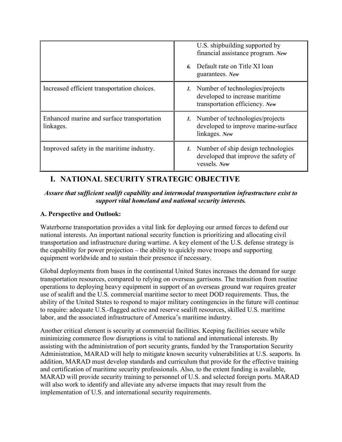|                                                         | U.S. shipbuilding supported by<br>financial assistance program. New<br>6. Default rate on Title XI loan<br>guarantees. New |
|---------------------------------------------------------|----------------------------------------------------------------------------------------------------------------------------|
| Increased efficient transportation choices.             | 1. Number of technologies/projects<br>developed to increase maritime<br>transportation efficiency. New                     |
| Enhanced marine and surface transportation<br>linkages. | 1. Number of technologies/projects<br>developed to improve marine-surface<br>linkages. New                                 |
| Improved safety in the maritime industry.               | 1. Number of ship design technologies<br>developed that improve the safety of<br>vessels. New                              |

# **I. NATIONAL SECURITY STRATEGIC OBJECTIVE**

#### *Assure that sufficient sealift capability and intermodal transportation infrastructure exist to support vital homeland and national security interests.*

#### **A. Perspective and Outlook:**

Waterborne transportation provides a vital link for deploying our armed forces to defend our national interests. An important national security function is prioritizing and allocating civil transportation and infrastructure during wartime. A key element of the U.S. defense strategy is the capability for power projection – the ability to quickly move troops and supporting equipment worldwide and to sustain their presence if necessary.

Global deployments from bases in the continental United States increases the demand for surge transportation resources, compared to relying on overseas garrisons. The transition from routine operations to deploying heavy equipment in support of an overseas ground war requires greater use of sealift and the U.S. commercial maritime sector to meet DOD requirements. Thus, the ability of the United States to respond to major military contingencies in the future will continue to require: adequate U.S.-flagged active and reserve sealift resources, skilled U.S. maritime labor, and the associated infrastructure of America's maritime industry.

Another critical element is security at commercial facilities. Keeping facilities secure while minimizing commerce flow disruptions is vital to national and international interests. By assisting with the administration of port security grants, funded by the Transportation Security Administration, MARAD will help to mitigate known security vulnerabilities at U.S. seaports. In addition, MARAD must develop standards and curriculum that provide for the effective training and certification of maritime security professionals. Also, to the extent funding is available, MARAD will provide security training to personnel of U.S. and selected foreign ports. MARAD will also work to identify and alleviate any adverse impacts that may result from the implementation of U.S. and international security requirements.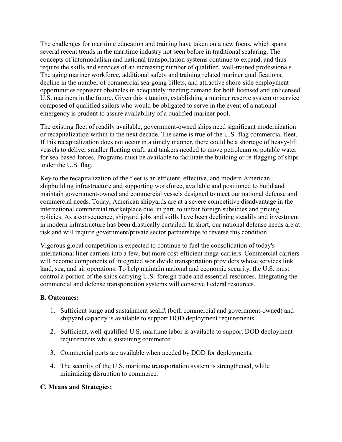The challenges for maritime education and training have taken on a new focus, which spans several recent trends in the maritime industry not seen before in traditional seafaring. The concepts of intermodalism and national transportation systems continue to expand, and thus require the skills and services of an increasing number of qualified, well-trained professionals. The aging mariner workforce, additional safety and training related mariner qualifications, decline in the number of commercial sea-going billets, and attractive shore-side employment opportunities represent obstacles in adequately meeting demand for both licensed and unlicensed U.S. mariners in the future. Given this situation, establishing a mariner reserve system or service composed of qualified sailors who would be obligated to serve in the event of a national emergency is prudent to assure availability of a qualified mariner pool.

The existing fleet of readily available, government-owned ships need significant modernization or recapitalization within in the next decade. The same is true of the U.S.-flag commercial fleet. If this recapitalization does not occur in a timely manner, there could be a shortage of heavy-lift vessels to deliver smaller floating craft, and tankers needed to move petroleum or potable water for sea-based forces. Programs must be available to facilitate the building or re-flagging of ships under the U.S. flag.

Key to the recapitalization of the fleet is an efficient, effective, and modern American shipbuilding infrastructure and supporting workforce, available and positioned to build and maintain government-owned and commercial vessels designed to meet our national defense and commercial needs. Today, American shipyards are at a severe competitive disadvantage in the international commercial marketplace due, in part, to unfair foreign subsidies and pricing policies. As a consequence, shipyard jobs and skills have been declining steadily and investment in modern infrastructure has been drastically curtailed. In short, our national defense needs are at risk and will require government/private sector partnerships to reverse this condition.

Vigorous global competition is expected to continue to fuel the consolidation of today's international liner carriers into a few, but more cost-efficient mega-carriers. Commercial carriers will become components of integrated worldwide transportation providers whose services link land, sea, and air operations. To help maintain national and economic security, the U.S. must control a portion of the ships carrying U.S.-foreign trade and essential resources. Integrating the commercial and defense transportation systems will conserve Federal resources.

#### **B. Outcomes:**

- 1. Sufficient surge and sustainment sealift (both commercial and government-owned) and shipyard capacity is available to support DOD deployment requirements.
- 2. Sufficient, well-qualified U.S. maritime labor is available to support DOD deployment requirements while sustaining commerce.
- 3. Commercial ports are available when needed by DOD for deployments.
- 4. The security of the U.S. maritime transportation system is strengthened, while minimizing disruption to commerce.

#### **C. Means and Strategies:**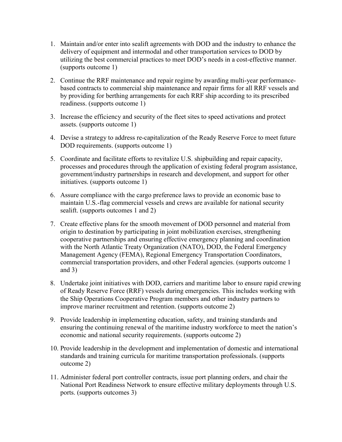- 1. Maintain and/or enter into sealift agreements with DOD and the industry to enhance the delivery of equipment and intermodal and other transportation services to DOD by utilizing the best commercial practices to meet DOD's needs in a cost-effective manner. (supports outcome 1)
- 2. Continue the RRF maintenance and repair regime by awarding multi-year performancebased contracts to commercial ship maintenance and repair firms for all RRF vessels and by providing for berthing arrangements for each RRF ship according to its prescribed readiness. (supports outcome 1)
- 3. Increase the efficiency and security of the fleet sites to speed activations and protect assets. (supports outcome 1)
- 4. Devise a strategy to address re-capitalization of the Ready Reserve Force to meet future DOD requirements. (supports outcome 1)
- 5. Coordinate and facilitate efforts to revitalize U.S. shipbuilding and repair capacity, processes and procedures through the application of existing federal program assistance, government/industry partnerships in research and development, and support for other initiatives. (supports outcome 1)
- 6. Assure compliance with the cargo preference laws to provide an economic base to maintain U.S.-flag commercial vessels and crews are available for national security sealift. (supports outcomes 1 and 2)
- 7. Create effective plans for the smooth movement of DOD personnel and material from origin to destination by participating in joint mobilization exercises, strengthening cooperative partnerships and ensuring effective emergency planning and coordination with the North Atlantic Treaty Organization (NATO), DOD, the Federal Emergency Management Agency (FEMA), Regional Emergency Transportation Coordinators, commercial transportation providers, and other Federal agencies. (supports outcome 1 and 3)
- 8. Undertake joint initiatives with DOD, carriers and maritime labor to ensure rapid crewing of Ready Reserve Force (RRF) vessels during emergencies. This includes working with the Ship Operations Cooperative Program members and other industry partners to improve mariner recruitment and retention. (supports outcome 2)
- 9. Provide leadership in implementing education, safety, and training standards and ensuring the continuing renewal of the maritime industry workforce to meet the nation's economic and national security requirements. (supports outcome 2)
- 10. Provide leadership in the development and implementation of domestic and international standards and training curricula for maritime transportation professionals. (supports outcome 2)
- 11. Administer federal port controller contracts, issue port planning orders, and chair the National Port Readiness Network to ensure effective military deployments through U.S. ports. (supports outcomes 3)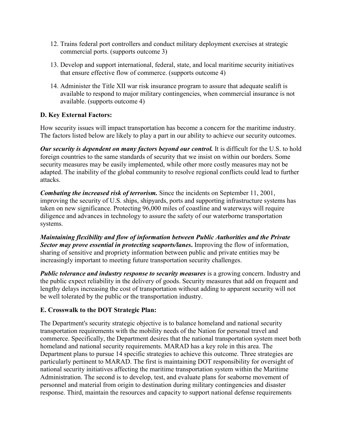- 12. Trains federal port controllers and conduct military deployment exercises at strategic commercial ports. (supports outcome 3)
- 13. Develop and support international, federal, state, and local maritime security initiatives that ensure effective flow of commerce. (supports outcome 4)
- 14. Administer the Title XII war risk insurance program to assure that adequate sealift is available to respond to major military contingencies, when commercial insurance is not available. (supports outcome 4)

# **D. Key External Factors:**

How security issues will impact transportation has become a concern for the maritime industry. The factors listed below are likely to play a part in our ability to achieve our security outcomes.

*Our security is dependent on many factors beyond our control.* It is difficult for the U.S. to hold foreign countries to the same standards of security that we insist on within our borders. Some security measures may be easily implemented, while other more costly measures may not be adapted. The inability of the global community to resolve regional conflicts could lead to further attacks.

*Combating the increased risk of terrorism.* Since the incidents on September 11, 2001, improving the security of U.S. ships, shipyards, ports and supporting infrastructure systems has taken on new significance. Protecting 96,000 miles of coastline and waterways will require diligence and advances in technology to assure the safety of our waterborne transportation systems.

*Maintaining flexibility and flow of information between Public Authorities and the Private Sector may prove essential in protecting seaports/lanes***.** Improving the flow of information, sharing of sensitive and propriety information between public and private entities may be increasingly important to meeting future transportation security challenges.

*Public tolerance and industry response to security measures* is a growing concern. Industry and the public expect reliability in the delivery of goods. Security measures that add on frequent and lengthy delays increasing the cost of transportation without adding to apparent security will not be well tolerated by the public or the transportation industry.

#### **E. Crosswalk to the DOT Strategic Plan:**

The Department's security strategic objective is to balance homeland and national security transportation requirements with the mobility needs of the Nation for personal travel and commerce. Specifically, the Department desires that the national transportation system meet both homeland and national security requirements. MARAD has a key role in this area. The Department plans to pursue 14 specific strategies to achieve this outcome. Three strategies are particularly pertinent to MARAD. The first is maintaining DOT responsibility for oversight of national security initiatives affecting the maritime transportation system within the Maritime Administration. The second is to develop, test, and evaluate plans for seaborne movement of personnel and material from origin to destination during military contingencies and disaster response. Third, maintain the resources and capacity to support national defense requirements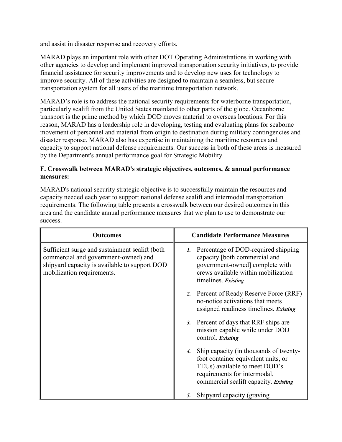and assist in disaster response and recovery efforts.

MARAD plays an important role with other DOT Operating Administrations in working with other agencies to develop and implement improved transportation security initiatives, to provide financial assistance for security improvements and to develop new uses for technology to improve security. All of these activities are designed to maintain a seamless, but secure transportation system for all users of the maritime transportation network.

MARAD's role is to address the national security requirements for waterborne transportation, particularly sealift from the United States mainland to other parts of the globe. Oceanborne transport is the prime method by which DOD moves material to overseas locations. For this reason, MARAD has a leadership role in developing, testing and evaluating plans for seaborne movement of personnel and material from origin to destination during military contingencies and disaster response. MARAD also has expertise in maintaining the maritime resources and capacity to support national defense requirements. Our success in both of these areas is measured by the Department's annual performance goal for Strategic Mobility.

#### **F. Crosswalk between MARAD's strategic objectives, outcomes, & annual performance measures:**

MARAD's national security strategic objective is to successfully maintain the resources and capacity needed each year to support national defense sealift and intermodal transportation requirements. The following table presents a crosswalk between our desired outcomes in this area and the candidate annual performance measures that we plan to use to demonstrate our success.

| <b>Outcomes</b>                                                                                                                                                       | <b>Candidate Performance Measures</b>                                                                                                                                                      |
|-----------------------------------------------------------------------------------------------------------------------------------------------------------------------|--------------------------------------------------------------------------------------------------------------------------------------------------------------------------------------------|
| Sufficient surge and sustainment sealift (both<br>commercial and government-owned) and<br>shipyard capacity is available to support DOD<br>mobilization requirements. | <i>1.</i> Percentage of DOD-required shipping<br>capacity [both commercial and<br>government-owned] complete with<br>crews available within mobilization<br>timelines. Existing            |
|                                                                                                                                                                       | 2. Percent of Ready Reserve Force (RRF)<br>no-notice activations that meets<br>assigned readiness timelines. Existing                                                                      |
|                                                                                                                                                                       | 3. Percent of days that RRF ships are<br>mission capable while under DOD<br>control. Existing                                                                                              |
|                                                                                                                                                                       | 4. Ship capacity (in thousands of twenty-<br>foot container equivalent units, or<br>TEUs) available to meet DOD's<br>requirements for intermodal,<br>commercial sealift capacity. Existing |
|                                                                                                                                                                       | Shipyard capacity (graving<br>5.                                                                                                                                                           |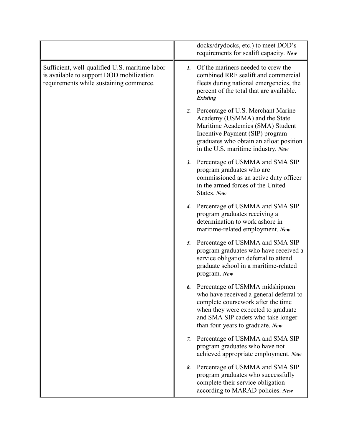|                                                                                                                                       | docks/drydocks, etc.) to meet DOD's<br>requirements for sealift capacity. New                                                                                                                                                          |
|---------------------------------------------------------------------------------------------------------------------------------------|----------------------------------------------------------------------------------------------------------------------------------------------------------------------------------------------------------------------------------------|
| Sufficient, well-qualified U.S. maritime labor<br>is available to support DOD mobilization<br>requirements while sustaining commerce. | Of the mariners needed to crew the<br>$\mathbf{1}$ .<br>combined RRF sealift and commercial<br>fleets during national emergencies, the<br>percent of the total that are available.<br>Existing                                         |
|                                                                                                                                       | 2. Percentage of U.S. Merchant Marine<br>Academy (USMMA) and the State<br>Maritime Academies (SMA) Student<br>Incentive Payment (SIP) program<br>graduates who obtain an afloat position<br>in the U.S. maritime industry. New         |
|                                                                                                                                       | Percentage of USMMA and SMA SIP<br>3.<br>program graduates who are<br>commissioned as an active duty officer<br>in the armed forces of the United<br>States. New                                                                       |
|                                                                                                                                       | 4. Percentage of USMMA and SMA SIP<br>program graduates receiving a<br>determination to work ashore in<br>maritime-related employment. New                                                                                             |
|                                                                                                                                       | Percentage of USMMA and SMA SIP<br>5.<br>program graduates who have received a<br>service obligation deferral to attend<br>graduate school in a maritime-related<br>program. New                                                       |
|                                                                                                                                       | Percentage of USMMA midshipmen<br>6.<br>who have received a general deferral to<br>complete coursework after the time<br>when they were expected to graduate<br>and SMA SIP cadets who take longer<br>than four years to graduate. New |
|                                                                                                                                       | Percentage of USMMA and SMA SIP<br>$\mathcal{I}$ .<br>program graduates who have not<br>achieved appropriate employment. New                                                                                                           |
|                                                                                                                                       | Percentage of USMMA and SMA SIP<br>8.<br>program graduates who successfully<br>complete their service obligation<br>according to MARAD policies. New                                                                                   |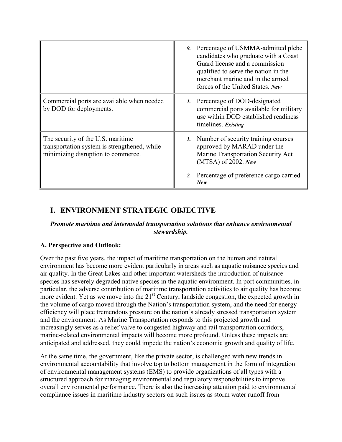|                                                                                                                         | 9. Percentage of USMMA-admitted plebe<br>candidates who graduate with a Coast<br>Guard license and a commission<br>qualified to serve the nation in the<br>merchant marine and in the armed<br>forces of the United States. New |
|-------------------------------------------------------------------------------------------------------------------------|---------------------------------------------------------------------------------------------------------------------------------------------------------------------------------------------------------------------------------|
| Commercial ports are available when needed<br>by DOD for deployments.                                                   | 1. Percentage of DOD-designated<br>commercial ports available for military<br>use within DOD established readiness<br>timelines. Existing                                                                                       |
| The security of the U.S. maritime<br>transportation system is strengthened, while<br>minimizing disruption to commerce. | 1. Number of security training courses<br>approved by MARAD under the<br>Marine Transportation Security Act<br>$(MTSA)$ of 2002. New<br>Percentage of preference cargo carried.                                                 |
|                                                                                                                         | 2.<br><b>New</b>                                                                                                                                                                                                                |

# **I. ENVIRONMENT STRATEGIC OBJECTIVE**

#### *Promote maritime and intermodal transportation solutions that enhance environmental stewardship.*

#### **A. Perspective and Outlook:**

Over the past five years, the impact of maritime transportation on the human and natural environment has become more evident particularly in areas such as aquatic nuisance species and air quality. In the Great Lakes and other important watersheds the introduction of nuisance species has severely degraded native species in the aquatic environment. In port communities, in particular, the adverse contribution of maritime transportation activities to air quality has become more evident. Yet as we move into the 21<sup>st</sup> Century, landside congestion, the expected growth in the volume of cargo moved through the Nation's transportation system, and the need for energy efficiency will place tremendous pressure on the nation's already stressed transportation system and the environment. As Marine Transportation responds to this projected growth and increasingly serves as a relief valve to congested highway and rail transportation corridors, marine-related environmental impacts will become more profound. Unless these impacts are anticipated and addressed, they could impede the nation's economic growth and quality of life.

At the same time, the government, like the private sector, is challenged with new trends in environmental accountability that involve top to bottom management in the form of integration of environmental management systems (EMS) to provide organizations of all types with a structured approach for managing environmental and regulatory responsibilities to improve overall environmental performance. There is also the increasing attention paid to environmental compliance issues in maritime industry sectors on such issues as storm water runoff from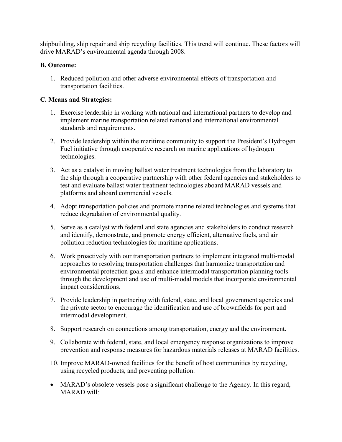shipbuilding, ship repair and ship recycling facilities. This trend will continue. These factors will drive MARAD's environmental agenda through 2008.

# **B. Outcome:**

1. Reduced pollution and other adverse environmental effects of transportation and transportation facilities.

# **C. Means and Strategies:**

- 1. Exercise leadership in working with national and international partners to develop and implement marine transportation related national and international environmental standards and requirements.
- 2. Provide leadership within the maritime community to support the President's Hydrogen Fuel initiative through cooperative research on marine applications of hydrogen technologies.
- 3. Act as a catalyst in moving ballast water treatment technologies from the laboratory to the ship through a cooperative partnership with other federal agencies and stakeholders to test and evaluate ballast water treatment technologies aboard MARAD vessels and platforms and aboard commercial vessels.
- 4. Adopt transportation policies and promote marine related technologies and systems that reduce degradation of environmental quality.
- 5. Serve as a catalyst with federal and state agencies and stakeholders to conduct research and identify, demonstrate, and promote energy efficient, alternative fuels, and air pollution reduction technologies for maritime applications.
- 6. Work proactively with our transportation partners to implement integrated multi-modal approaches to resolving transportation challenges that harmonize transportation and environmental protection goals and enhance intermodal transportation planning tools through the development and use of multi-modal models that incorporate environmental impact considerations.
- 7. Provide leadership in partnering with federal, state, and local government agencies and the private sector to encourage the identification and use of brownfields for port and intermodal development.
- 8. Support research on connections among transportation, energy and the environment.
- 9. Collaborate with federal, state, and local emergency response organizations to improve prevention and response measures for hazardous materials releases at MARAD facilities.
- 10. Improve MARAD-owned facilities for the benefit of host communities by recycling, using recycled products, and preventing pollution.
- MARAD's obsolete vessels pose a significant challenge to the Agency. In this regard, MARAD will: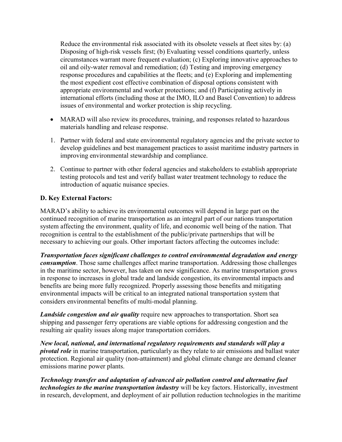Reduce the environmental risk associated with its obsolete vessels at fleet sites by: (a) Disposing of high-risk vessels first; (b) Evaluating vessel conditions quarterly, unless circumstances warrant more frequent evaluation; (c) Exploring innovative approaches to oil and oily-water removal and remediation; (d) Testing and improving emergency response procedures and capabilities at the fleets; and (e) Exploring and implementing the most expedient cost effective combination of disposal options consistent with appropriate environmental and worker protections; and (f) Participating actively in international efforts (including those at the IMO, ILO and Basel Convention) to address issues of environmental and worker protection is ship recycling.

- MARAD will also review its procedures, training, and responses related to hazardous materials handling and release response.
- 1. Partner with federal and state environmental regulatory agencies and the private sector to develop guidelines and best management practices to assist maritime industry partners in improving environmental stewardship and compliance.
- 2. Continue to partner with other federal agencies and stakeholders to establish appropriate testing protocols and test and verify ballast water treatment technology to reduce the introduction of aquatic nuisance species.

#### **D. Key External Factors:**

MARAD's ability to achieve its environmental outcomes will depend in large part on the continued recognition of marine transportation as an integral part of our nations transportation system affecting the environment, quality of life, and economic well being of the nation. That recognition is central to the establishment of the public/private partnerships that will be necessary to achieving our goals. Other important factors affecting the outcomes include:

*Transportation faces significant challenges to control environmental degradation and energy consumption*. Those same challenges affect marine transportation. Addressing those challenges in the maritime sector, however, has taken on new significance. As marine transportation grows in response to increases in global trade and landside congestion, its environmental impacts and benefits are being more fully recognized. Properly assessing those benefits and mitigating environmental impacts will be critical to an integrated national transportation system that considers environmental benefits of multi-modal planning.

*Landside congestion and air quality* require new approaches to transportation. Short sea shipping and passenger ferry operations are viable options for addressing congestion and the resulting air quality issues along major transportation corridors.

*New local, national, and international regulatory requirements and standards will play a pivotal role* in marine transportation, particularly as they relate to air emissions and ballast water protection. Regional air quality (non-attainment) and global climate change are demand cleaner emissions marine power plants.

*Technology transfer and adaptation of advanced air pollution control and alternative fuel technologies to the marine transportation industry* will be key factors. Historically, investment in research, development, and deployment of air pollution reduction technologies in the maritime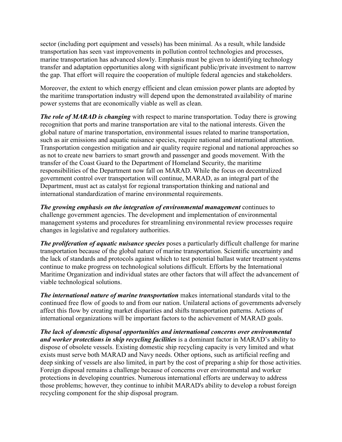sector (including port equipment and vessels) has been minimal. As a result, while landside transportation has seen vast improvements in pollution control technologies and processes, marine transportation has advanced slowly. Emphasis must be given to identifying technology transfer and adaptation opportunities along with significant public/private investment to narrow the gap. That effort will require the cooperation of multiple federal agencies and stakeholders.

Moreover, the extent to which energy efficient and clean emission power plants are adopted by the maritime transportation industry will depend upon the demonstrated availability of marine power systems that are economically viable as well as clean.

*The role of MARAD is changing* with respect to marine transportation. Today there is growing recognition that ports and marine transportation are vital to the national interests. Given the global nature of marine transportation, environmental issues related to marine transportation, such as air emissions and aquatic nuisance species, require national and international attention. Transportation congestion mitigation and air quality require regional and national approaches so as not to create new barriers to smart growth and passenger and goods movement. With the transfer of the Coast Guard to the Department of Homeland Security, the maritime responsibilities of the Department now fall on MARAD. While the focus on decentralized government control over transportation will continue, MARAD, as an integral part of the Department, must act as catalyst for regional transportation thinking and national and international standardization of marine environmental requirements.

*The growing emphasis on the integration of environmental management* continues to challenge government agencies. The development and implementation of environmental management systems and procedures for streamlining environmental review processes require changes in legislative and regulatory authorities.

*The proliferation of aquatic nuisance species* poses a particularly difficult challenge for marine transportation because of the global nature of marine transportation. Scientific uncertainty and the lack of standards and protocols against which to test potential ballast water treatment systems continue to make progress on technological solutions difficult. Efforts by the International Maritime Organization and individual states are other factors that will affect the advancement of viable technological solutions.

*The international nature of marine transportation* makes international standards vital to the continued free flow of goods to and from our nation. Unilateral actions of governments adversely affect this flow by creating market disparities and shifts transportation patterns. Actions of international organizations will be important factors to the achievement of MARAD goals.

*The lack of domestic disposal opportunities and international concerns over environmental and worker protections in ship recycling facilities* is a dominant factor in MARAD's ability to dispose of obsolete vessels. Existing domestic ship recycling capacity is very limited and what exists must serve both MARAD and Navy needs. Other options, such as artificial reefing and deep sinking of vessels are also limited, in part by the cost of preparing a ship for those activities. Foreign disposal remains a challenge because of concerns over environmental and worker protections in developing countries. Numerous international efforts are underway to address those problems; however, they continue to inhibit MARAD's ability to develop a robust foreign recycling component for the ship disposal program.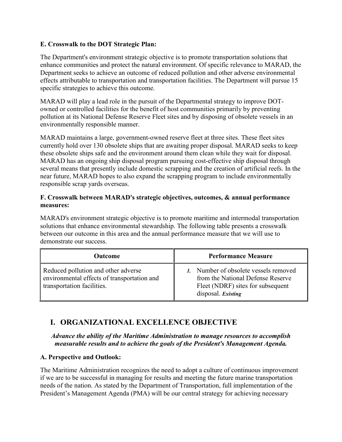#### **E. Crosswalk to the DOT Strategic Plan:**

The Department's environment strategic objective is to promote transportation solutions that enhance communities and protect the natural environment. Of specific relevance to MARAD, the Department seeks to achieve an outcome of reduced pollution and other adverse environmental effects attributable to transportation and transportation facilities. The Department will pursue 15 specific strategies to achieve this outcome.

MARAD will play a lead role in the pursuit of the Departmental strategy to improve DOTowned or controlled facilities for the benefit of host communities primarily by preventing pollution at its National Defense Reserve Fleet sites and by disposing of obsolete vessels in an environmentally responsible manner.

MARAD maintains a large, government-owned reserve fleet at three sites. These fleet sites currently hold over 130 obsolete ships that are awaiting proper disposal. MARAD seeks to keep these obsolete ships safe and the environment around them clean while they wait for disposal. MARAD has an ongoing ship disposal program pursuing cost-effective ship disposal through several means that presently include domestic scrapping and the creation of artificial reefs. In the near future, MARAD hopes to also expand the scrapping program to include environmentally responsible scrap yards overseas.

#### **F. Crosswalk between MARAD's strategic objectives, outcomes, & annual performance measures:**

MARAD's environment strategic objective is to promote maritime and intermodal transportation solutions that enhance environmental stewardship. The following table presents a crosswalk between our outcome in this area and the annual performance measure that we will use to demonstrate our success.

| <b>Outcome</b>                                                                                                   | <b>Performance Measure</b>                                                                                                            |
|------------------------------------------------------------------------------------------------------------------|---------------------------------------------------------------------------------------------------------------------------------------|
| Reduced pollution and other adverse<br>environmental effects of transportation and<br>transportation facilities. | 1. Number of obsolete vessels removed<br>from the National Defense Reserve<br>Fleet (NDRF) sites for subsequent<br>disposal. Existing |

# **I. ORGANIZATIONAL EXCELLENCE OBJECTIVE**

*Advance the ability of the Maritime Administration to manage resources to accomplish measurable results and to achieve the goals of the President's Management Agenda.*

#### **A. Perspective and Outlook:**

The Maritime Administration recognizes the need to adopt a culture of continuous improvement if we are to be successful in managing for results and meeting the future marine transportation needs of the nation. As stated by the Department of Transportation, full implementation of the President's Management Agenda (PMA) will be our central strategy for achieving necessary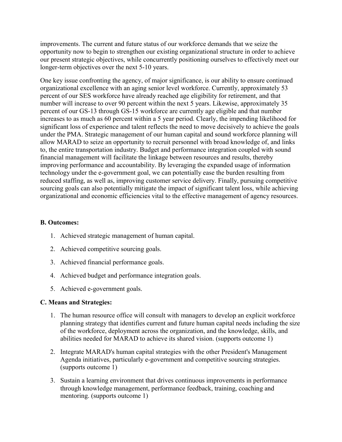improvements. The current and future status of our workforce demands that we seize the opportunity now to begin to strengthen our existing organizational structure in order to achieve our present strategic objectives, while concurrently positioning ourselves to effectively meet our longer-term objectives over the next 5-10 years.

One key issue confronting the agency, of major significance, is our ability to ensure continued organizational excellence with an aging senior level workforce. Currently, approximately 53 percent of our SES workforce have already reached age eligibility for retirement, and that number will increase to over 90 percent within the next 5 years. Likewise, approximately 35 percent of our GS-13 through GS-15 workforce are currently age eligible and that number increases to as much as 60 percent within a 5 year period. Clearly, the impending likelihood for significant loss of experience and talent reflects the need to move decisively to achieve the goals under the PMA. Strategic management of our human capital and sound workforce planning will allow MARAD to seize an opportunity to recruit personnel with broad knowledge of, and links to, the entire transportation industry. Budget and performance integration coupled with sound financial management will facilitate the linkage between resources and results, thereby improving performance and accountability. By leveraging the expanded usage of information technology under the e-government goal, we can potentially ease the burden resulting from reduced staffing, as well as, improving customer service delivery. Finally, pursuing competitive sourcing goals can also potentially mitigate the impact of significant talent loss, while achieving organizational and economic efficiencies vital to the effective management of agency resources.

#### **B. Outcomes:**

- 1. Achieved strategic management of human capital.
- 2. Achieved competitive sourcing goals.
- 3. Achieved financial performance goals.
- 4. Achieved budget and performance integration goals.
- 5. Achieved e-government goals.

#### **C. Means and Strategies:**

- 1. The human resource office will consult with managers to develop an explicit workforce planning strategy that identifies current and future human capital needs including the size of the workforce, deployment across the organization, and the knowledge, skills, and abilities needed for MARAD to achieve its shared vision. (supports outcome 1)
- 2. Integrate MARAD's human capital strategies with the other President's Management Agenda initiatives, particularly e-government and competitive sourcing strategies. (supports outcome 1)
- 3. Sustain a learning environment that drives continuous improvements in performance through knowledge management, performance feedback, training, coaching and mentoring. (supports outcome 1)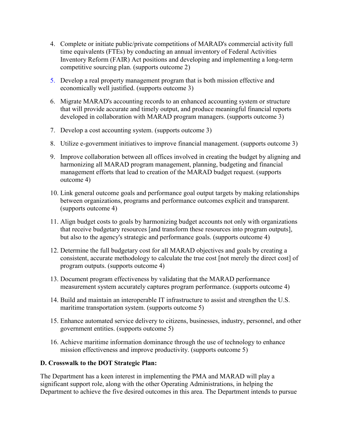- 4. Complete or initiate public/private competitions of MARAD's commercial activity full time equivalents (FTEs) by conducting an annual inventory of Federal Activities Inventory Reform (FAIR) Act positions and developing and implementing a long-term competitive sourcing plan. (supports outcome 2)
- 5. Develop a real property management program that is both mission effective and economically well justified. (supports outcome 3)
- 6. Migrate MARAD's accounting records to an enhanced accounting system or structure that will provide accurate and timely output, and produce meaningful financial reports developed in collaboration with MARAD program managers. (supports outcome 3)
- 7. Develop a cost accounting system. (supports outcome 3)
- 8. Utilize e-government initiatives to improve financial management. (supports outcome 3)
- 9. Improve collaboration between all offices involved in creating the budget by aligning and harmonizing all MARAD program management, planning, budgeting and financial management efforts that lead to creation of the MARAD budget request. (supports outcome 4)
- 10. Link general outcome goals and performance goal output targets by making relationships between organizations, programs and performance outcomes explicit and transparent. (supports outcome 4)
- 11. Align budget costs to goals by harmonizing budget accounts not only with organizations that receive budgetary resources [and transform these resources into program outputs], but also to the agency's strategic and performance goals. (supports outcome 4)
- 12. Determine the full budgetary cost for all MARAD objectives and goals by creating a consistent, accurate methodology to calculate the true cost [not merely the direct cost] of program outputs. (supports outcome 4)
- 13. Document program effectiveness by validating that the MARAD performance measurement system accurately captures program performance. (supports outcome 4)
- 14. Build and maintain an interoperable IT infrastructure to assist and strengthen the U.S. maritime transportation system. (supports outcome 5)
- 15. Enhance automated service delivery to citizens, businesses, industry, personnel, and other government entities. (supports outcome 5)
- 16. Achieve maritime information dominance through the use of technology to enhance mission effectiveness and improve productivity. (supports outcome 5)

#### **D. Crosswalk to the DOT Strategic Plan:**

The Department has a keen interest in implementing the PMA and MARAD will play a significant support role, along with the other Operating Administrations, in helping the Department to achieve the five desired outcomes in this area. The Department intends to pursue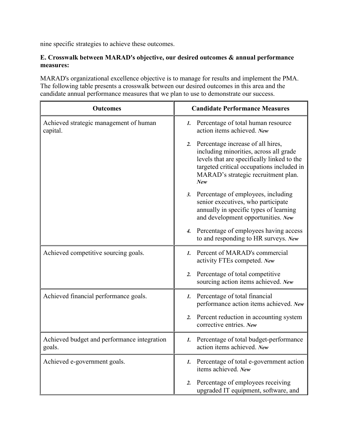nine specific strategies to achieve these outcomes.

#### **E. Crosswalk between MARAD's objective, our desired outcomes & annual performance measures:**

MARAD's organizational excellence objective is to manage for results and implement the PMA. The following table presents a crosswalk between our desired outcomes in this area and the candidate annual performance measures that we plan to use to demonstrate our success.

| <b>Outcomes</b>                                       | <b>Candidate Performance Measures</b>                                                                                                                                                                                      |
|-------------------------------------------------------|----------------------------------------------------------------------------------------------------------------------------------------------------------------------------------------------------------------------------|
| Achieved strategic management of human<br>capital.    | 1. Percentage of total human resource<br>action items achieved. New                                                                                                                                                        |
|                                                       | Percentage increase of all hires,<br>2.<br>including minorities, across all grade<br>levels that are specifically linked to the<br>targeted critical occupations included in<br>MARAD's strategic recruitment plan.<br>New |
|                                                       | Percentage of employees, including<br>3.<br>senior executives, who participate<br>annually in specific types of learning<br>and development opportunities. New                                                             |
|                                                       | 4. Percentage of employees having access<br>to and responding to HR surveys. New                                                                                                                                           |
| Achieved competitive sourcing goals.                  | Percent of MARAD's commercial<br>$\mathbf{I}$ .<br>activity FTEs competed. New                                                                                                                                             |
|                                                       | Percentage of total competitive<br>2.<br>sourcing action items achieved. New                                                                                                                                               |
| Achieved financial performance goals.                 | 1. Percentage of total financial<br>performance action items achieved. New                                                                                                                                                 |
|                                                       | Percent reduction in accounting system<br>2.<br>corrective entries. New                                                                                                                                                    |
| Achieved budget and performance integration<br>goals. | Percentage of total budget-performance<br>$\mathbf{1}$ .<br>action items achieved. New                                                                                                                                     |
| Achieved e-government goals.                          | 1. Percentage of total e-government action<br>items achieved. New                                                                                                                                                          |
|                                                       | Percentage of employees receiving<br>2.<br>upgraded IT equipment, software, and                                                                                                                                            |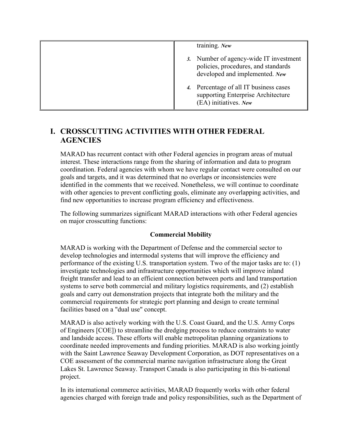| training. New                                                                                                   |
|-----------------------------------------------------------------------------------------------------------------|
| 3. Number of agency-wide IT investment<br>policies, procedures, and standards<br>developed and implemented. New |
| 4. Percentage of all IT business cases<br>supporting Enterprise Architecture<br>(EA) initiatives. New           |

# **I. CROSSCUTTING ACTIVITIES WITH OTHER FEDERAL AGENCIES**

MARAD has recurrent contact with other Federal agencies in program areas of mutual interest. These interactions range from the sharing of information and data to program coordination. Federal agencies with whom we have regular contact were consulted on our goals and targets, and it was determined that no overlaps or inconsistencies were identified in the comments that we received. Nonetheless, we will continue to coordinate with other agencies to prevent conflicting goals, eliminate any overlapping activities, and find new opportunities to increase program efficiency and effectiveness.

The following summarizes significant MARAD interactions with other Federal agencies on major crosscutting functions:

#### **Commercial Mobility**

MARAD is working with the Department of Defense and the commercial sector to develop technologies and intermodal systems that will improve the efficiency and performance of the existing U.S. transportation system. Two of the major tasks are to: (1) investigate technologies and infrastructure opportunities which will improve inland freight transfer and lead to an efficient connection between ports and land transportation systems to serve both commercial and military logistics requirements, and (2) establish goals and carry out demonstration projects that integrate both the military and the commercial requirements for strategic port planning and design to create terminal facilities based on a "dual use" concept.

MARAD is also actively working with the U.S. Coast Guard, and the U.S. Army Corps of Engineers [COE]) to streamline the dredging process to reduce constraints to water and landside access. These efforts will enable metropolitan planning organizations to coordinate needed improvements and funding priorities. MARAD is also working jointly with the Saint Lawrence Seaway Development Corporation, as DOT representatives on a COE assessment of the commercial marine navigation infrastructure along the Great Lakes St. Lawrence Seaway. Transport Canada is also participating in this bi-national project.

In its international commerce activities, MARAD frequently works with other federal agencies charged with foreign trade and policy responsibilities, such as the Department of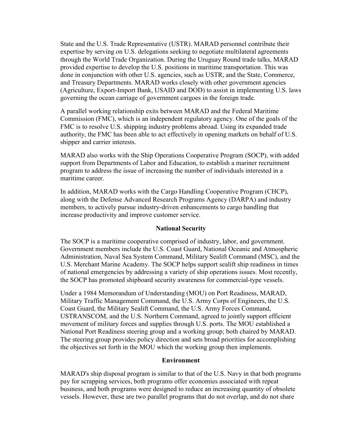State and the U.S. Trade Representative (USTR). MARAD personnel contribute their expertise by serving on U.S. delegations seeking to negotiate multilateral agreements through the World Trade Organization. During the Uruguay Round trade talks, MARAD provided expertise to develop the U.S. positions in maritime transportation. This was done in conjunction with other U.S. agencies, such as USTR, and the State, Commerce, and Treasury Departments. MARAD works closely with other government agencies (Agriculture, Export-Import Bank, USAID and DOD) to assist in implementing U.S. laws governing the ocean carriage of government cargoes in the foreign trade.

A parallel working relationship exits between MARAD and the Federal Maritime Commission (FMC), which is an independent regulatory agency. One of the goals of the FMC is to resolve U.S. shipping industry problems abroad. Using its expanded trade authority, the FMC has been able to act effectively in opening markets on behalf of U.S. shipper and carrier interests.

MARAD also works with the Ship Operations Cooperative Program (SOCP), with added support from Departments of Labor and Education, to establish a mariner recruitment program to address the issue of increasing the number of individuals interested in a maritime career.

In addition, MARAD works with the Cargo Handling Cooperative Program (CHCP), along with the Defense Advanced Research Programs Agency (DARPA) and industry members, to actively pursue industry-driven enhancements to cargo handling that increase productivity and improve customer service.

#### **National Security**

The SOCP is a maritime cooperative comprised of industry, labor, and government. Government members include the U.S. Coast Guard, National Oceanic and Atmospheric Administration, Naval Sea System Command, Military Sealift Command (MSC), and the U.S. Merchant Marine Academy. The SOCP helps support sealift ship readiness in times of national emergencies by addressing a variety of ship operations issues. Most recently, the SOCP has promoted shipboard security awareness for commercial-type vessels.

Under a 1984 Memorandum of Understanding (MOU) on Port Readiness, MARAD, Military Traffic Management Command, the U.S. Army Corps of Engineers, the U.S. Coast Guard, the Military Sealift Command, the U.S. Army Forces Command, USTRANSCOM, and the U.S. Northern Command, agreed to jointly support efficient movement of military forces and supplies through U.S. ports. The MOU established a National Port Readiness steering group and a working group; both chaired by MARAD. The steering group provides policy direction and sets broad priorities for accomplishing the objectives set forth in the MOU which the working group then implements.

#### **Environment**

MARAD's ship disposal program is similar to that of the U.S. Navy in that both programs pay for scrapping services, both programs offer economies associated with repeat business, and both programs were designed to reduce an increasing quantity of obsolete vessels. However, these are two parallel programs that do not overlap, and do not share